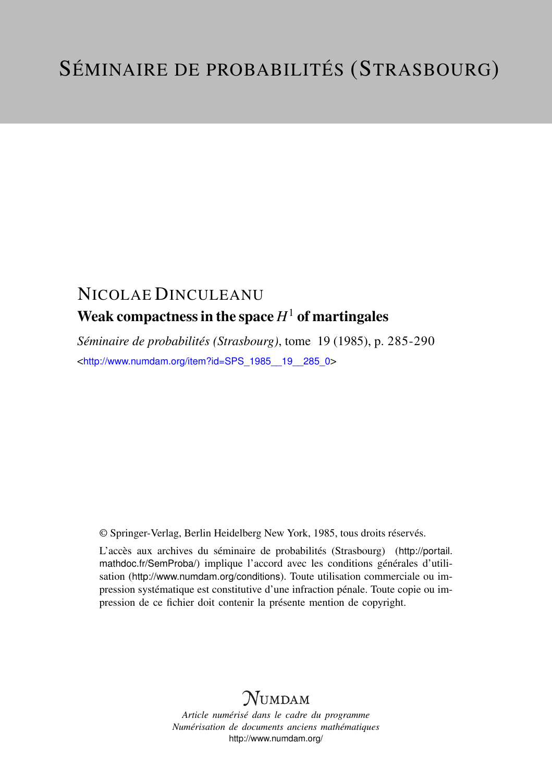# NICOLAE DINCULEANU Weak compactness in the space  $H^1$  of martingales

*Séminaire de probabilités (Strasbourg)*, tome 19 (1985), p. 285-290 <[http://www.numdam.org/item?id=SPS\\_1985\\_\\_19\\_\\_285\\_0](http://www.numdam.org/item?id=SPS_1985__19__285_0)>

© Springer-Verlag, Berlin Heidelberg New York, 1985, tous droits réservés.

L'accès aux archives du séminaire de probabilités (Strasbourg) ([http://portail.](http://portail.mathdoc.fr/SemProba/) [mathdoc.fr/SemProba/](http://portail.mathdoc.fr/SemProba/)) implique l'accord avec les conditions générales d'utilisation (<http://www.numdam.org/conditions>). Toute utilisation commerciale ou impression systématique est constitutive d'une infraction pénale. Toute copie ou impression de ce fichier doit contenir la présente mention de copyright.

# **NUMDAM**

*Article numérisé dans le cadre du programme Numérisation de documents anciens mathématiques* <http://www.numdam.org/>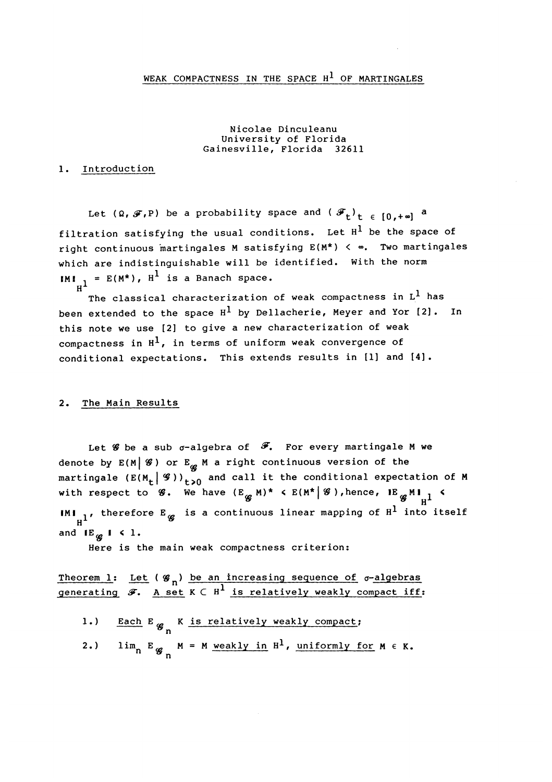### WEAK COMPACTNESS IN THE SPACE  $H^1$  OF MARTINGALES

Nicolae Dinculeanu University of Florida Gainesville, Florida 32611

### 1. Introduction

Let  $(Q, \mathcal{F}, P)$  be a probability space and  $(\mathcal{F}_{t})_{t \in [0, +\infty]}$  a filtration satisfying the usual conditions. Let  $H^1$  be the space of right continuous martingales M satisfying  $E(M^*)$  <  $\infty$ . Two martingales which are indistinguishable will be identified. With the norm IMI<sub>H</sub>1 = E(M\*), H<sup>1</sup> is a Banach space.

The classical characterization of weak compactness in  $L^1$  has been extended to the space  $H^1$  by Dellacherie, Meyer and Yor [2]. In this note we use [2] to give a new characterization of weak compactness in  $H^1$ , in terms of uniform weak convergence of conditional expectations. This extends results in [1] and [4].

### 2. The Main Results

Let  $\mathscr G$  be a sub  $\sigma$ -algebra of  $\mathscr F$ . For every martingale M we denote by  $E(M \mid \mathcal{G})$  or  $E_{\mathcal{Q}}$  M a right continuous version of the martingale  $(E(M_t \mid \mathcal{G}))_{t\geq 0}$  and call it the conditional expectation of M with respect to  $\mathscr{G}$ . We have  $(E_{\mathscr{G}} M)^*$  <  $E(M^*|\mathscr{G})$ , hence,  $IE_{\mathscr{G}} M_{\frac{1}{n}}$  < IMI<sub>11</sub>, therefore E<sub>g</sub> is a continuous linear mapping of  $H^1$  into itself and  $E_{\varphi}$   $\mathsf{I} \leq 1$ .

Here is the main weak compactness criterion:

Theorem 1: Let  $(g_n)$  be an increasing sequence of  $\sigma$ -algebras generating  $\mathcal{F}.$  A set K  $\subset$  H<sup>1</sup> is relatively weakly compact iff:

- 1.) Each E  $g_n$  K is relatively weakly compact;
- 2.)  $\lim_{n \to \infty} E_{g_n} M = M$  weakly in  $H^1$ , uniformly for  $M \in K$ .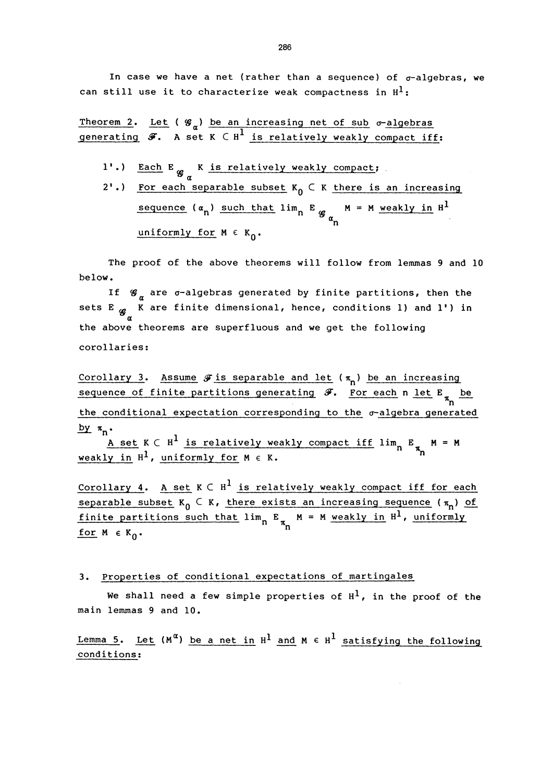In case we have a net (rather than a sequence) of  $\sigma$ -algebras, we can still use it to characterize weak compactness in  $H^1$ :

Theorem 2. Let ( $\mathscr{G}_{\alpha}$ ) be an increasing net of sub  $\sigma$ -algebras generating  $\mathcal{F}.$  A set K  $\subset$  H<sup>1</sup> is relatively weakly compact iff:

- 1'.) Each E  $g_a$  K is relatively weakly compact;
- 2'.) For each separable subset  $K_0 \subset K$  there is an increasing sequence ( $\alpha_{n}$ ) such that lim<sub>n</sub> E  $_{g}$  M = M weakly in H<sup>1</sup> uniformly for  $M \in K_0$ .

The proof of the above theorems will follow from lemmas 9 and 10 below.

If  $\mathcal{G}_{\alpha}$  are  $\sigma$ -algebras generated by finite partitions, then the sets E  $_{\mathscr{G}}$  K are finite dimensional, hence, conditions 1) and 1') in the above theorems are superfluous and we get the following corollaries:

Corollary 3. Assume  $\mathcal F$  is separable and let  $(\pi_n)$  be an increasing Corollary 3. Assume  $\mathscr F$  is separable and let ( $\pi_{\sf n}$ ) be an increasing<br>sequence of finite partitions generating  $\mathscr F$ . For each n let E  $_{\pi_{\sf n}}$  be  $\frac{1+u}{\pi}$  be the conditional expectation corresponding to the  $\sigma$ -algebra generated

 $\frac{by}{n}$   $\pi_n$ .<br>A set K C H<sup>1</sup> is relatively weakly compact iff lim<sub>n</sub> E<sub> $\pi_n$ </sub> M = M weakly in  $H^1$ , uniformly for  $M \in K$ .

Corollary 4. A set  $K \subset H^1$  is relatively weakly compact iff for each separable subset K<sub>O</sub>  $\subset$  K, there exists an increasing sequence ( $\pi_{\sf n}$ ) of finite partitions such that  $\lim_n$  E  $_{\pi_n}$  M = M weakly in  $\texttt{H}^1$ , uniformly for  $M \in K_0$ .

#### 3. properties of conditional expectations of martingales

We shall need a few simple properties of  $H^1$ , in the proof of the main lemmas 9 and 10.

Lemma 5. Let  $(M^{\alpha})$  be a net in H<sup>1</sup> and M  $\epsilon$  H<sup>1</sup> satisfying the following conditions: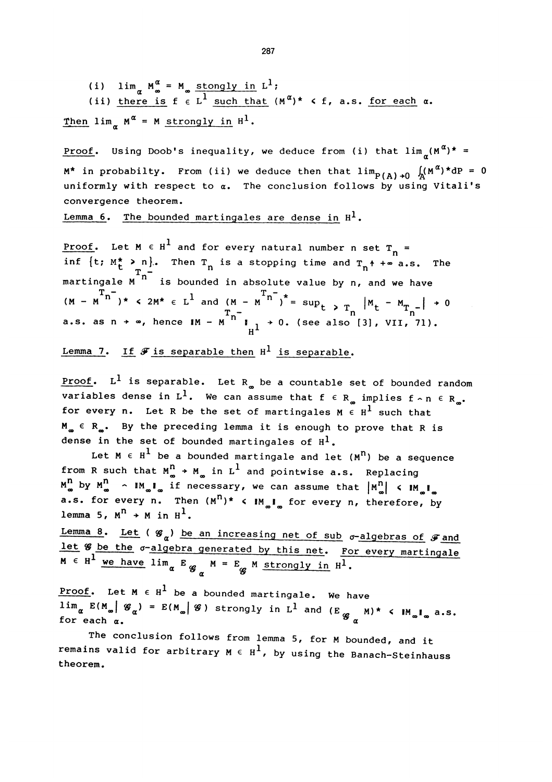(i)  $\lim_{\alpha} M_{\infty}^{\alpha} = M_{\infty} \frac{\text{stongly in L}^1}{1}$ (ii) <u>there is</u> f  $\epsilon$  L<sup>1</sup> such that  $(M^{\alpha})^*$  < f, a.s. <u>for each</u>  $\alpha$ .

Then  $\lim_{\alpha} M^{\alpha} = M$  strongly in  $H^{1}$ .

<u>Proof</u>. Using Doob's inequality, we deduce from (i) that  $\lim_{n}(M^{\alpha})^*$  =  $M^*$  in probabilty. From (ii) we deduce then that  $\lim_{P(A) \to 0} \int_A (M^{\alpha})^* dP = 0$ uniformly with respect to  $\alpha$ . The conclusion follows by using Vitali's convergence theorem.

Lemma 6. The bounded martingales are dense in  $H^1$ .

<u>Proof</u>. Let M  $\in$  H<sup>1</sup> and for every natural number n set T<sub>n</sub> = inf  $\{t: M_t^{\star} > n\}$ . Then  $T_n$  is a stopping time and  $T_n^{\star}$  +  $\infty$  a.s. The martingale  $\sum_{n=1}^{\infty}$  is bounded in absolute value by n, and we have  $(\text{M} - \text{M}^{\text{m}})^*$  < 2M\*  $\in$  L<sup>1</sup> and  $(\text{M} - \text{M}^{\text{m}})^*$  = sup<sub>t > T<sub>n</sub> |M<sub>t</sub> - M<sub>T<sub>n</sub>-</sub>| + 0</sub> a.s. as n + ∞, hence  $M - M$   $\begin{bmatrix} M \\ M \end{bmatrix}$  + 0. (see also [3], VII, 71).

Lemma 7. If  $\mathcal F$  is separable then  $H^1$  is separable.

**Proof.**  $L^1$  is separable. Let  $R_{\infty}$  be a countable set of bounded random variables dense in L<sup>1</sup>. We can assume that  $f \in R_{\infty}$  implies  $f \sim n \in R_{\infty}$ . for every n. Let R be the set of martingales  $M \in H^1$  such that  $M_{m} \in R_{m}$ . By the preceding lemma it is enough to prove that R is dense in the set of bounded martingales of  $H^1$ .

Let  $M \in H^1$  be a bounded martingale and let  $(M^n)$  be a sequence from R such that  $M_{\infty}^{n}$  + M<sub>p</sub> in L<sup>1</sup> and pointwise a.s. Replacing  $M_{\infty}^{n}$  by  $M_{\infty}^{n}$   $\sim$   $M_{\infty}I_{\infty}$  if necessary, we can assume that  $|M_{\infty}^{n}|$   $\leq$   $M_{\infty}I_{\infty}$ a.s. for every n. Then  $(M^n)^*$  <  $M_m I_m$  for every n, therefore, by lemma 5,  $M^{n}$  + M in  $H^{1}$ .

Lemma 8. Let ( $\mathscr{G}_{\alpha}$ ) be an increasing net of sub  $\sigma$ -algebras of  $\mathscr{F}$  and let  $\mathscr{G}_{\alpha}$  be the  $\sigma$ -algebra generated by this net. For every martingale  $M \in H^1$  we have lim<sub>a</sub> E  $g_{n}$   $M = E_g$  M strongly in  $H^1$ .

Proof. Let  $M \in H^1$  be a bounded martingale. We have  $\lim_\alpha E(\M_\alpha)$  (  $\mathscr{G}_\alpha$  ) =  $E(\M_\alpha)$  (3) strongly in  $L^1$  and (E  $_{\mathscr{G}}$  M)\* < IM  $_{\!\!\alpha}$ I  $_{\!\!\alpha}$  a.s.<br>for each  $_\alpha$ .

The conclusion follows from lemma 5, for M bounded, and it remains valid for arbitrary  $M \in H^1$ , by using the Banach-Steinhauss theorem.

287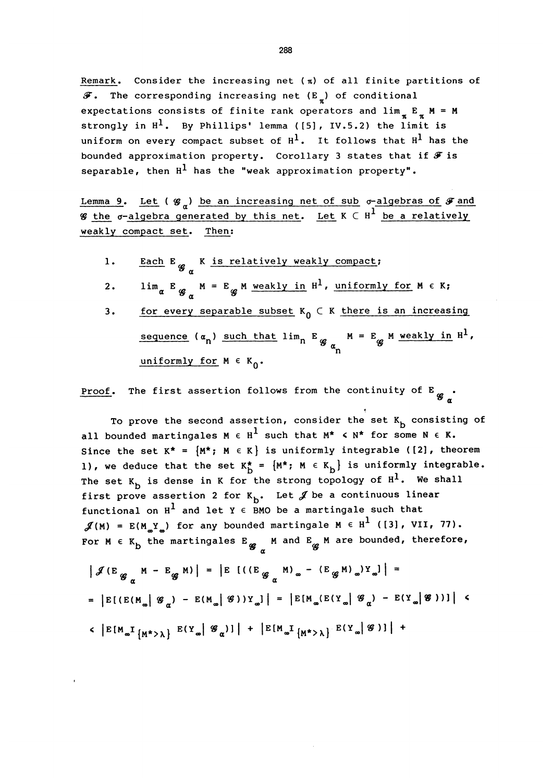Remark. Consider the increasing net ( $\pi$ ) of all finite partitions of  $\mathcal F$ . The corresponding increasing net (E<sub>x</sub>) of conditional expectations consists of finite rank operators and  $\lim_{n \to \infty} E_n = M$ strongly in  $H^1$ . By Phillips' lemma ([5], IV.5.2) the limit is uniform on every compact subset of  $H^1$ . It follows that  $H^1$  has the bounded approximation property. Corollary 3 states that if  $\mathcal F$  is separable, then  $H^1$  has the "weak approximation property".

Lemma 9. Let ( $\mathscr{G}_n$ ) be an increasing net of sub  $\sigma$ -algebras of  $\mathscr{F}$  and **W** the  $\sigma$ -algebra generated by this net. Let  $K \subset H^1$  be a relatively weakly compact set. Then:

1. Each  $E_{g_{\alpha}}$  K is relatively weakly compact;

$$
\text{2. } \qquad \lim_{\alpha} E_{g_{\alpha}} M = E_{g} M \underline{\text{ weakly in H}}^1, \underline{\text{ uniformly for M}} \in K;
$$

3. for every separable subset  $K_0 \subset K$  there is an increasing sequence  $(a_n)$  such that  $\lim_{n \to \infty} E_{g}$   $\binom{M}{n} = E_{g}$  M weakly in  $H^1$ , uniformly for  $M \in K_0$ .

Proof. The first assertion follows from the continuity of E  $g$ .

To prove the second assertion, consider the set  $K_b$  consisting of all bounded martingales M  $\epsilon$  H<sup>1</sup> such that M<sup>\*</sup>  $\leq$  N<sup>\*</sup> for some N  $\epsilon$  K. Since the set  $K^* = {M^*; M \in K}$  is uniformly integrable ([2], theorem 1), we deduce that the set  $K_{\overline{D}}^* = \{M^*; M \in K_{\overline{D}}\}$  is uniformly integrable. The set  $K_b$  is dense in K for the strong topology of  $H^1$ . We shall first prove assertion 2 for  $K_{b}$ . Let  $\mathcal{J}$  be a continuous linear functional on  $H^1$  and let  $Y \in BMO$  be a martingale such that  $\mathscr{J}(M) = E(M_{\omega}Y_{\omega})$  for any bounded martingale  $M \in H^1$  ([3], VII, 77). For  $M \in K_b$  the martingales  $E_{\mathbf{g}}$  M and  $E_{\mathbf{g}}$  M are bounded, therefore,

$$
\left| \mathcal{J} \left( E_{\mathcal{G}_{\alpha}} M - E_{\mathcal{G}} M \right) \right| = \left| E \left[ \left( \left( E_{\mathcal{G}_{\alpha}} M \right)_{\infty} - \left( E_{\mathcal{G}} M \right)_{\infty} \right) Y_{\infty} \right] \right| =
$$
\n
$$
= \left| E \left[ \left( E \left( M_{\infty} \middle| \mathcal{G}_{\alpha} \right) - E \left( M_{\infty} \middle| \mathcal{G} \right) \right) Y_{\infty} \right] \right| = \left| E \left[ M_{\infty} \left( E \left( Y_{\infty} \middle| \mathcal{G}_{\alpha} \right) - E \left( Y_{\infty} \middle| \mathcal{G} \right) \right) \right] \right| \leq
$$
\n
$$
< \left| E \left[ M_{\infty} I_{\{ M^* > \lambda \}} E \left( Y_{\infty} \middle| \mathcal{G}_{\alpha} \right) \right] \right| + \left| E \left[ M_{\infty} I_{\{ M^* > \lambda \}} E \left( Y_{\infty} \middle| \mathcal{G} \right) \right] \right| +
$$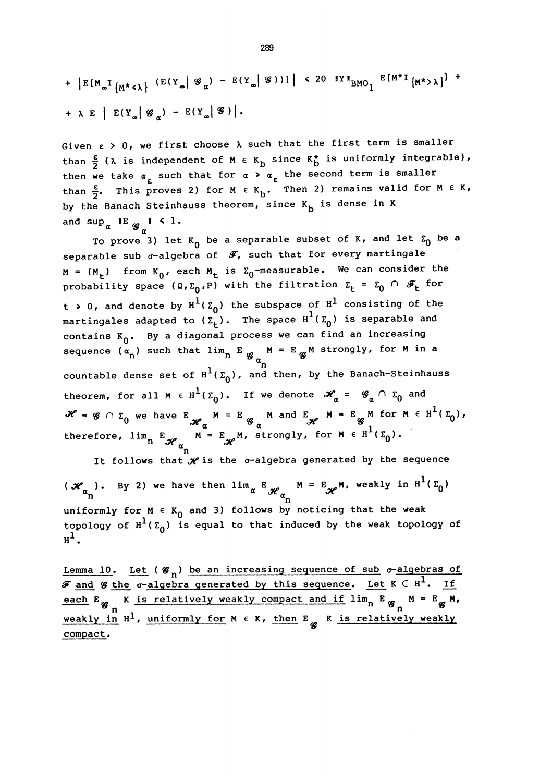+ 
$$
|E[M_{\infty}I_{\{M^{\star}\leq\lambda\}}(E(Y_{\infty}|\mathcal{G}_{\alpha})-E(Y_{\infty}|\mathcal{G}))|
$$
 < 20 IV I<sub>BMO</sub><sub>1</sub>  $E[M^{\star}I_{\{M^{\star}>\lambda\}}]$  +  
+  $\lambda E$  |  $E(Y_{\infty}|\mathcal{G}_{\alpha})-E(Y_{\infty}|\mathcal{G})$  |.

Given  $\epsilon > 0$ , we first choose  $\lambda$  such that the first term is smaller than  $\frac{\varepsilon}{2}$  ( $\lambda$  is independent of M  $\epsilon$  K<sub>b</sub> since K<sub>b</sub> is uniformly integrable), then we take  $\alpha_{\varepsilon}$  such that for  $\alpha > \alpha_{\varepsilon}$  the second term is smaller than  $\frac{\varepsilon}{2}$ . This proves 2) for M  $\epsilon$  K<sub>b</sub>. Then 2) remains valid for M  $\epsilon$  K, by the Banach Steinhauss theorem, since  $K_{b}$  is dense in K and  $\sup_{\alpha}$  IE  $g_{\alpha}$ I < 1.

To prove 3) let  $K_0$  be a separable subset of K, and let  $\Sigma_0$  be a separable sub  $\sigma$ -algebra of  $\mathscr{F}$ , such that for every martingale  $M = (M_t)$  from  $K_0$ , each  $M_t$  is  $\Sigma_0$ -measurable. We can consider the probability space  $(\Omega, \Sigma_0, P)$  with the filtration  $\Sigma_t = \Sigma_0 \cap \mathcal{F}_t$  for t > 0, and denote by  $H^1(\Sigma_0)$  the subspace of  $H^1$  consisting of the martingales adapted to  $(\Sigma_t)$ . The space  $H^1(\Sigma_0)$  is separable and contains  $K_0$ . By a diagonal process we can find an increasing sequence  $(\alpha_n)$  such that  $\lim_{n \to \infty} E_{\alpha} M = E_{\alpha} M$  strongly, for M in a countable dense set of  $H^1(\Sigma_0)$ , and then, by the Banach-Steinhauss theorem, for all M  $\in$  H<sup>1</sup>( $\Sigma_0$ ). If we denote  $\mathscr{H}_\alpha$  =  $\mathscr{G}_\alpha \cap \Sigma_0$  and  $\mathcal{H} = \mathcal{G} \cap \Sigma_0$  we have  $E_{\mathcal{H}_{\alpha}}$   $M = E_{\mathcal{G}_{\alpha}}$   $M$  and  $E_{\mathcal{H}}$   $M = E_{\mathcal{G}}$   $M$  for  $M \in \mathbb{R}^1(\Sigma_1)$ , therefore,  $\lim_{n} E_{\mathscr{H}_{\alpha}} M = E_{\mathscr{H}} M$ , strongly, for M  $\epsilon$ 

It follows that  $\mathcal H$  is the  $\sigma$ -algebra generated by the sequence ( $\mathcal{H}_{\alpha_{n}}$ ). By 2) we have then  $\lim_{\alpha} E_{\mathcal{H}_{\alpha_{n}}}^{\alpha}$  M =  $E_{\mathcal{H}}^{\alpha}$ M, weakly in  $H^{1}(\Sigma_{0})$ uniformly for  $M \in K_0$  and 3) follows by noticing that the weak topology of  $H^1(\Sigma_0)$  is equal to that induced by the weak topology of  $H^1$ .

Lemma 10. Let  $(g_n)$  be an increasing sequence of sub  $\sigma$ -algebras of  ${\mathcal F}$  and  ${\mathcal G}$  the  $\sigma$ -algebra generated by this sequence. Let  $K\subset H^1$ . If each  $E_{\mathscr{G}}$  K is relatively weakly compact and if  $\lim_{n} E_{\mathscr{G}}$  M =  $E_{\mathscr{G}}$  M, weakly in  $H^1$ , uniformly for  $M \in K$ , then  $E_{\alpha}$  K is relatively weakly compact.